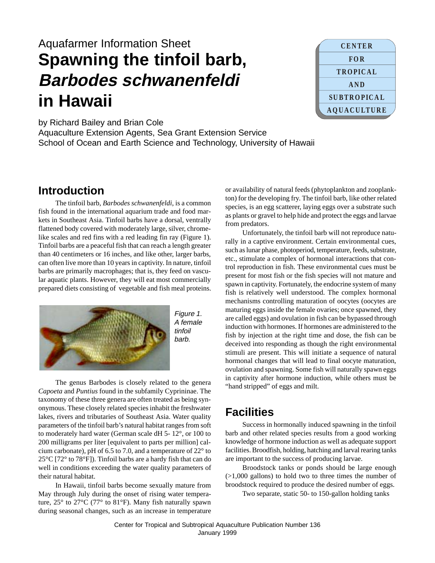# Aquafarmer Information Sheet **Spawning the tinfoil barb, Barbodes schwanenfeldi in Hawaii**



by Richard Bailey and Brian Cole

Aquaculture Extension Agents, Sea Grant Extension Service School of Ocean and Earth Science and Technology, University of Hawaii

## **Introduction**

The tinfoil barb, *Barbodes schwanenfeldi*, is a common fish found in the international aquarium trade and food markets in Southeast Asia. Tinfoil barbs have a dorsal, ventrally flattened body covered with moderately large, silver, chromelike scales and red fins with a red leading fin ray (Figure 1). Tinfoil barbs are a peaceful fish that can reach a length greater than 40 centimeters or 16 inches, and like other, larger barbs, can often live more than 10 years in captivity. In nature, tinfoil barbs are primarily macrophages; that is, they feed on vascular aquatic plants. However, they will eat most commercially prepared diets consisting of vegetable and fish meal proteins.



The genus Barbodes is closely related to the genera *Capoeta* and *Puntius* found in the subfamily Cyprininae. The taxonomy of these three genera are often treated as being synonymous. These closely related species inhabit the freshwater lakes, rivers and tributaries of Southeast Asia. Water quality parameters of the tinfoil barb's natural habitat ranges from soft to moderately hard water (German scale dH 5- 12°, or 100 to 200 milligrams per liter [equivalent to parts per million] calcium carbonate), pH of 6.5 to 7.0, and a temperature of 22° to  $25^{\circ}$ C [72 $^{\circ}$  to 78 $^{\circ}$ F]). Tinfoil barbs are a hardy fish that can do well in conditions exceeding the water quality parameters of their natural habitat.

In Hawaii, tinfoil barbs become sexually mature from May through July during the onset of rising water temperature, 25° to 27°C (77° to 81°F). Many fish naturally spawn during seasonal changes, such as an increase in temperature or availability of natural feeds (phytoplankton and zooplankton) for the developing fry. The tinfoil barb, like other related species, is an egg scatterer, laying eggs over a substrate such as plants or gravel to help hide and protect the eggs and larvae from predators.

Unfortunately, the tinfoil barb will not reproduce naturally in a captive environment. Certain environmental cues, such as lunar phase, photoperiod, temperature, feeds, substrate, etc., stimulate a complex of hormonal interactions that control reproduction in fish. These environmental cues must be present for most fish or the fish species will not mature and spawn in captivity. Fortunately, the endocrine system of many fish is relatively well understood. The complex hormonal mechanisms controlling maturation of oocytes (oocytes are maturing eggs inside the female ovaries; once spawned, they are called eggs) and ovulation in fish can be bypassed through induction with hormones. If hormones are administered to the fish by injection at the right time and dose, the fish can be deceived into responding as though the right environmental stimuli are present. This will initiate a sequence of natural hormonal changes that will lead to final oocyte maturation, ovulation and spawning. Some fish will naturally spawn eggs in captivity after hormone induction, while others must be "hand stripped" of eggs and milt.

# **Facilities**

Success in hormonally induced spawning in the tinfoil barb and other related species results from a good working knowledge of hormone induction as well as adequate support facilities. Broodfish, holding, hatching and larval rearing tanks are important to the success of producing larvae.

Broodstock tanks or ponds should be large enough (>1,000 gallons) to hold two to three times the number of broodstock required to produce the desired number of eggs.

Two separate, static 50- to 150-gallon holding tanks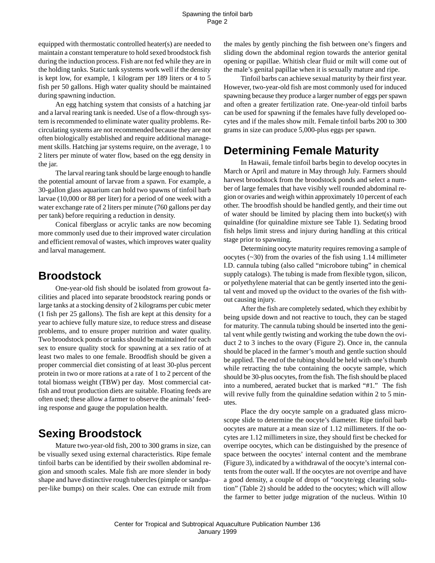equipped with thermostatic controlled heater(s) are needed to maintain a constant temperature to hold sexed broodstock fish during the induction process. Fish are not fed while they are in the holding tanks. Static tank systems work well if the density is kept low, for example, 1 kilogram per 189 liters or 4 to 5 fish per 50 gallons. High water quality should be maintained during spawning induction.

An egg hatching system that consists of a hatching jar and a larval rearing tank is needed. Use of a flow-through system is recommended to eliminate water quality problems. Recirculating systems are not recommended because they are not often biologically established and require additional management skills. Hatching jar systems require, on the average, 1 to 2 liters per minute of water flow, based on the egg density in the jar.

The larval rearing tank should be large enough to handle the potential amount of larvae from a spawn. For example, a 30-gallon glass aquarium can hold two spawns of tinfoil barb larvae (10,000 or 88 per liter) for a period of one week with a water exchange rate of 2 liters per minute (760 gallons per day per tank) before requiring a reduction in density.

Conical fiberglass or acrylic tanks are now becoming more commonly used due to their improved water circulation and efficient removal of wastes, which improves water quality and larval management.

## **Broodstock**

One-year-old fish should be isolated from growout facilities and placed into separate broodstock rearing ponds or large tanks at a stocking density of 2 kilograms per cubic meter (1 fish per 25 gallons). The fish are kept at this density for a year to achieve fully mature size, to reduce stress and disease problems, and to ensure proper nutrition and water quality. Two broodstock ponds or tanks should be maintained for each sex to ensure quality stock for spawning at a sex ratio of at least two males to one female. Broodfish should be given a proper commercial diet consisting of at least 30-plus percent protein in two or more rations at a rate of 1 to 2 percent of the total biomass weight (TBW) per day. Most commercial catfish and trout production diets are suitable. Floating feeds are often used; these allow a farmer to observe the animals' feeding response and gauge the population health.

## **Sexing Broodstock**

Mature two-year-old fish, 200 to 300 grams in size, can be visually sexed using external characteristics. Ripe female tinfoil barbs can be identified by their swollen abdominal region and smooth scales. Male fish are more slender in body shape and have distinctive rough tubercles (pimple or sandpaper-like bumps) on their scales. One can extrude milt from the males by gently pinching the fish between one's fingers and sliding down the abdominal region towards the anterior genital opening or papillae. Whitish clear fluid or milt will come out of the male's genital papillae when it is sexually mature and ripe.

Tinfoil barbs can achieve sexual maturity by their first year. However, two-year-old fish are most commonly used for induced spawning because they produce a larger number of eggs per spawn and often a greater fertilization rate. One-year-old tinfoil barbs can be used for spawning if the females have fully developed oocytes and if the males show milt. Female tinfoil barbs 200 to 300 grams in size can produce 5,000-plus eggs per spawn.

## **Determining Female Maturity**

In Hawaii, female tinfoil barbs begin to develop oocytes in March or April and mature in May through July. Farmers should harvest broodstock from the broodstock ponds and select a number of large females that have visibly well rounded abdominal region or ovaries and weigh within approximately 10 percent of each other. The broodfish should be handled gently, and their time out of water should be limited by placing them into bucket(s) with quinaldine (for quinaldine mixture see Table 1). Sedating brood fish helps limit stress and injury during handling at this critical stage prior to spawning.

Determining oocyte maturity requires removing a sample of oocytes (~30) from the ovaries of the fish using 1.14 millimeter I.D. cannula tubing (also called "microbore tubing" in chemical supply catalogs). The tubing is made from flexible tygon, silicon, or polyethylene material that can be gently inserted into the genital vent and moved up the oviduct to the ovaries of the fish without causing injury.

After the fish are completely sedated, which they exhibit by being upside down and not reactive to touch, they can be staged for maturity. The cannula tubing should be inserted into the genital vent while gently twisting and working the tube down the oviduct 2 to 3 inches to the ovary (Figure 2). Once in, the cannula should be placed in the farmer's mouth and gentle suction should be applied. The end of the tubing should be held with one's thumb while retracting the tube containing the oocyte sample, which should be 30-plus oocytes, from the fish. The fish should be placed into a numbered, aerated bucket that is marked "#1." The fish will revive fully from the quinaldine sedation within 2 to 5 minutes.

Place the dry oocyte sample on a graduated glass microscope slide to determine the oocyte's diameter. Ripe tinfoil barb oocytes are mature at a mean size of 1.12 millimeters. If the oocytes are 1.12 millimeters in size, they should first be checked for overripe oocytes, which can be distinguished by the presence of space between the oocytes' internal content and the membrane (Figure 3), indicated by a withdrawal of the oocyte's internal contents from the outer wall. If the oocytes are not overripe and have a good density, a couple of drops of "oocyte/egg clearing solution" (Table 2) should be added to the oocytes; which will allow the farmer to better judge migration of the nucleus. Within 10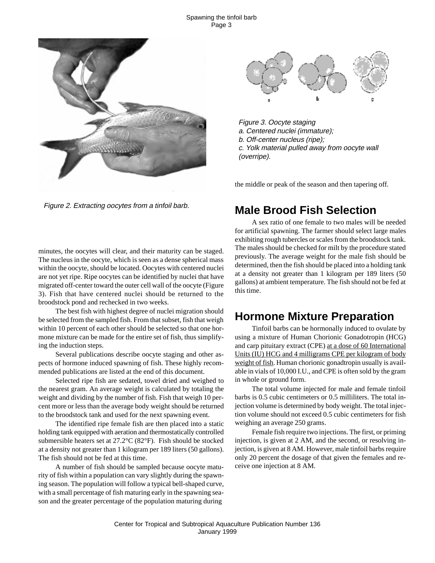#### Spawning the tinfoil barb Page 3





Figure 3. Oocyte staging a. Centered nuclei (immature); b. Off-center nucleus (ripe); c. Yolk material pulled away from oocyte wall (overripe).

the middle or peak of the season and then tapering off.

Figure 2. Extracting oocytes from a tinfoil barb.

minutes, the oocytes will clear, and their maturity can be staged. The nucleus in the oocyte, which is seen as a dense spherical mass within the oocyte, should be located. Oocytes with centered nuclei are not yet ripe. Ripe oocytes can be identified by nuclei that have migrated off-center toward the outer cell wall of the oocyte (Figure 3). Fish that have centered nuclei should be returned to the broodstock pond and rechecked in two weeks.

The best fish with highest degree of nuclei migration should be selected from the sampled fish. From that subset, fish that weigh within 10 percent of each other should be selected so that one hormone mixture can be made for the entire set of fish, thus simplifying the induction steps.

Several publications describe oocyte staging and other aspects of hormone induced spawning of fish. These highly recommended publications are listed at the end of this document.

Selected ripe fish are sedated, towel dried and weighed to the nearest gram. An average weight is calculated by totaling the weight and dividing by the number of fish. Fish that weigh 10 percent more or less than the average body weight should be returned to the broodstock tank and used for the next spawning event.

The identified ripe female fish are then placed into a static holding tank equipped with aeration and thermostatically controlled submersible heaters set at 27.2°C (82°F). Fish should be stocked at a density not greater than 1 kilogram per 189 liters (50 gallons). The fish should not be fed at this time.

A number of fish should be sampled because oocyte maturity of fish within a population can vary slightly during the spawning season. The population will follow a typical bell-shaped curve, with a small percentage of fish maturing early in the spawning season and the greater percentage of the population maturing during

# **Male Brood Fish Selection**

A sex ratio of one female to two males will be needed for artificial spawning. The farmer should select large males exhibiting rough tubercles or scales from the broodstock tank. The males should be checked for milt by the procedure stated previously. The average weight for the male fish should be determined, then the fish should be placed into a holding tank at a density not greater than 1 kilogram per 189 liters (50 gallons) at ambient temperature. The fish should not be fed at this time.

## **Hormone Mixture Preparation**

Tinfoil barbs can be hormonally induced to ovulate by using a mixture of Human Chorionic Gonadotropin (HCG) and carp pituitary extract (CPE) at a dose of 60 International Units (IU) HCG and 4 milligrams CPE per kilogram of body weight of fish. Human chorionic gonadtropin usually is available in vials of 10,000 I.U., and CPE is often sold by the gram in whole or ground form.

The total volume injected for male and female tinfoil barbs is 0.5 cubic centimeters or 0.5 milliliters. The total injection volume is determined by body weight. The total injection volume should not exceed 0.5 cubic centimeters for fish weighing an average 250 grams.

Female fish require two injections. The first, or priming injection, is given at 2 AM, and the second, or resolving injection, is given at 8 AM. However, male tinfoil barbs require only 20 percent the dosage of that given the females and receive one injection at 8 AM.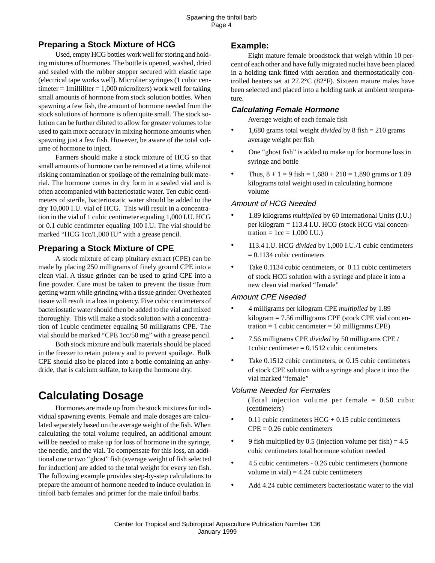## **Preparing a Stock Mixture of HCG**

Used, empty HCG bottles work well for storing and holding mixtures of hormones. The bottle is opened, washed, dried and sealed with the rubber stopper secured with elastic tape (electrical tape works well). Microliter syringes (1 cubic centimeter = 1 milliliter =  $1,000$  microliters) work well for taking small amounts of hormone from stock solution bottles. When spawning a few fish, the amount of hormone needed from the stock solutions of hormone is often quite small. The stock solution can be further diluted to allow for greater volumes to be used to gain more accuracy in mixing hormone amounts when spawning just a few fish. However, be aware of the total volume of hormone to inject.

Farmers should make a stock mixture of HCG so that small amounts of hormone can be removed at a time, while not risking contamination or spoilage of the remaining bulk material. The hormone comes in dry form in a sealed vial and is often accompanied with bacteriostatic water. Ten cubic centimeters of sterile, bacteriostatic water should be added to the dry 10,000 I.U. vial of HCG. This will result in a concentration in the vial of 1 cubic centimeter equaling 1,000 I.U. HCG or 0.1 cubic centimeter equaling 100 I.U. The vial should be marked "HCG 1cc/1,000 IU" with a grease pencil.

## **Preparing a Stock Mixture of CPE**

A stock mixture of carp pituitary extract (CPE) can be made by placing 250 milligrams of finely ground CPE into a clean vial. A tissue grinder can be used to grind CPE into a fine powder. Care must be taken to prevent the tissue from getting warm while grinding with a tissue grinder. Overheated tissue will result in a loss in potency. Five cubic centimeters of bacteriostatic water should then be added to the vial and mixed thoroughly. This will make a stock solution with a concentration of 1cubic centimeter equaling 50 milligrams CPE. The vial should be marked "CPE 1cc/50 mg" with a grease pencil.

Both stock mixture and bulk materials should be placed in the freezer to retain potency and to prevent spoilage. Bulk CPE should also be placed into a bottle containing an anhydride, that is calcium sulfate, to keep the hormone dry.

# **Calculating Dosage**

Hormones are made up from the stock mixtures for individual spawning events. Female and male dosages are calculated separately based on the average weight of the fish. When calculating the total volume required, an additional amount will be needed to make up for loss of hormone in the syringe, the needle, and the vial. To compensate for this loss, an additional one or two "ghost" fish (average weight of fish selected for induction) are added to the total weight for every ten fish. The following example provides step-by-step calculations to prepare the amount of hormone needed to induce ovulation in tinfoil barb females and primer for the male tinfoil barbs.

### **Example:**

Eight mature female broodstock that weigh within 10 percent of each other and have fully migrated nuclei have been placed in a holding tank fitted with aeration and thermostatically controlled heaters set at 27.2°C (82°F). Sixteen mature males have been selected and placed into a holding tank at ambient temperature.

### **Calculating Female Hormone**

Average weight of each female fish

- 1,680 grams total weight *divided* by 8 fish = 210 grams average weight per fish
- One "ghost fish" is added to make up for hormone loss in syringe and bottle
- Thus,  $8 + 1 = 9$  fish =  $1,680 + 210 = 1,890$  grams or 1.89 kilograms total weight used in calculating hormone volume

#### Amount of HCG Needed

- 1.89 kilograms *multiplied* by 60 International Units (I.U.) per kilogram = 113.4 I.U. HCG (stock HCG vial concentration =  $1cc = 1,000$  I.U.)
- 113.4 I.U. HCG *divided* by 1,000 I.U./1 cubic centimeters  $= 0.1134$  cubic centimeters
- Take 0.1134 cubic centimeters, or 0.11 cubic centimeters of stock HCG solution with a syringe and place it into a new clean vial marked "female"

#### Amount CPE Needed

- 4 milligrams per kilogram CPE *multiplied* by 1.89 kilogram = 7.56 milligrams CPE (stock CPE vial concentration  $= 1$  cubic centimeter  $= 50$  milligrams CPE)
- 7.56 milligrams CPE *divided* by 50 milligrams CPE / 1cubic centimeter  $= 0.1512$  cubic centimeters
- Take 0.1512 cubic centimeters, or 0.15 cubic centimeters of stock CPE solution with a syringe and place it into the vial marked "female"

#### Volume Needed for Females

(Total injection volume per female  $= 0.50$  cubic (centimeters)

- 0.11 cubic centimeters  $HCG + 0.15$  cubic centimeters  $CPE = 0.26$  cubic centimeters
- 9 fish multiplied by 0.5 (injection volume per fish)  $= 4.5$ cubic centimeters total hormone solution needed
- 4.5 cubic centimeters 0.26 cubic centimeters (hormone volume in vial $) = 4.24$  cubic centimeters
- Add 4.24 cubic centimeters bacteriostatic water to the vial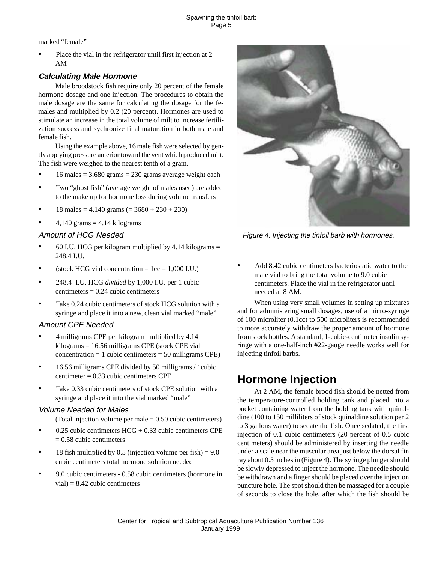marked "female"

Place the vial in the refrigerator until first injection at 2 AM

### **Calculating Male Hormone**

Male broodstock fish require only 20 percent of the female hormone dosage and one injection. The procedures to obtain the male dosage are the same for calculating the dosage for the females and multiplied by 0.2 (20 percent). Hormones are used to stimulate an increase in the total volume of milt to increase fertilization success and sychronize final maturation in both male and female fish.

Using the example above, 16 male fish were selected by gently applying pressure anterior toward the vent which produced milt. The fish were weighed to the nearest tenth of a gram.

- $16$  males = 3,680 grams = 230 grams average weight each
- Two "ghost fish" (average weight of males used) are added to the make up for hormone loss during volume transfers
- $18 \text{ males} = 4,140 \text{ grams} (= 3680 + 230 + 230)$
- $4,140$  grams =  $4.14$  kilograms

#### Amount of HCG Needed

- 60 I.U. HCG per kilogram multiplied by  $4.14$  kilograms  $=$ 248.4 I.U.
- (stock HCG vial concentration  $= 1cc = 1,000$  I.U.)
- 248.4 I.U. HCG *divided* by 1,000 I.U. per 1 cubic  $centimeters = 0.24 cubic centimeters$
- Take 0.24 cubic centimeters of stock HCG solution with a syringe and place it into a new, clean vial marked "male"

#### Amount CPE Needed

- 4 milligrams CPE per kilogram multiplied by 4.14 kilograms = 16.56 milligrams CPE (stock CPE vial  $concentration = 1 cubic centimeters = 50 milligrams CPE)$
- 16.56 milligrams CPE divided by 50 milligrams / 1cubic centimeter = 0.33 cubic centimeters CPE
- Take 0.33 cubic centimeters of stock CPE solution with a syringe and place it into the vial marked "male"

#### Volume Needed for Males

(Total injection volume per male = 0.50 cubic centimeters)

- $0.25$  cubic centimeters  $HCG + 0.33$  cubic centimeters CPE  $= 0.58$  cubic centimeters
- 18 fish multiplied by 0.5 (injection volume per fish) =  $9.0$ cubic centimeters total hormone solution needed
- 9.0 cubic centimeters 0.58 cubic centimeters (hormone in  $vial = 8.42$  cubic centimeters



Figure 4. Injecting the tinfoil barb with hormones.

Add 8.42 cubic centimeters bacteriostatic water to the male vial to bring the total volume to 9.0 cubic centimeters. Place the vial in the refrigerator until needed at 8 AM.

When using very small volumes in setting up mixtures and for administering small dosages, use of a micro-syringe of 100 microliter (0.1cc) to 500 microliters is recommended to more accurately withdraw the proper amount of hormone from stock bottles. A standard, 1-cubic-centimeter insulin syringe with a one-half-inch #22-gauge needle works well for injecting tinfoil barbs.

# **Hormone Injection**

At 2 AM, the female brood fish should be netted from the temperature-controlled holding tank and placed into a bucket containing water from the holding tank with quinaldine (100 to 150 milliliters of stock quinaldine solution per 2 to 3 gallons water) to sedate the fish. Once sedated, the first injection of 0.1 cubic centimeters (20 percent of 0.5 cubic centimeters) should be administered by inserting the needle under a scale near the muscular area just below the dorsal fin ray about 0.5 inches in (Figure 4). The syringe plunger should be slowly depressed to inject the hormone. The needle should be withdrawn and a finger should be placed over the injection puncture hole. The spot should then be massaged for a couple of seconds to close the hole, after which the fish should be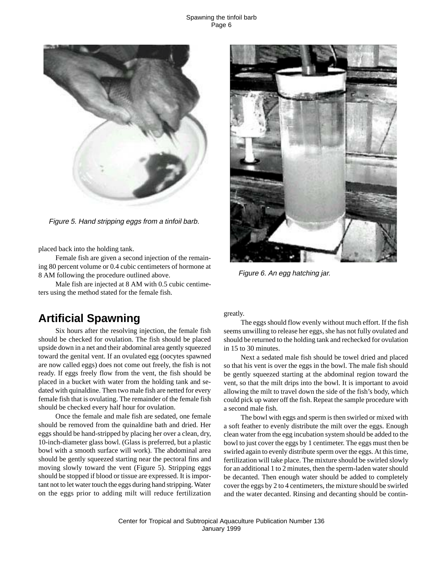#### Spawning the tinfoil barb Page 6



Figure 5. Hand stripping eggs from a tinfoil barb.

placed back into the holding tank.

Female fish are given a second injection of the remaining 80 percent volume or 0.4 cubic centimeters of hormone at 8 AM following the procedure outlined above.

Male fish are injected at 8 AM with 0.5 cubic centimeters using the method stated for the female fish.



Figure 6. An egg hatching jar.

## **Artificial Spawning**

Six hours after the resolving injection, the female fish should be checked for ovulation. The fish should be placed upside down in a net and their abdominal area gently squeezed toward the genital vent. If an ovulated egg (oocytes spawned are now called eggs) does not come out freely, the fish is not ready. If eggs freely flow from the vent, the fish should be placed in a bucket with water from the holding tank and sedated with quinaldine. Then two male fish are netted for every female fish that is ovulating. The remainder of the female fish should be checked every half hour for ovulation.

Once the female and male fish are sedated, one female should be removed from the quinaldine bath and dried. Her eggs should be hand-stripped by placing her over a clean, dry, 10-inch-diameter glass bowl. (Glass is preferred, but a plastic bowl with a smooth surface will work). The abdominal area should be gently squeezed starting near the pectoral fins and moving slowly toward the vent (Figure 5). Stripping eggs should be stopped if blood or tissue are expressed. It is important not to let water touch the eggs during hand stripping. Water on the eggs prior to adding milt will reduce fertilization greatly.

The eggs should flow evenly without much effort. If the fish seems unwilling to release her eggs, she has not fully ovulated and should be returned to the holding tank and rechecked for ovulation in 15 to 30 minutes.

Next a sedated male fish should be towel dried and placed so that his vent is over the eggs in the bowl. The male fish should be gently squeezed starting at the abdominal region toward the vent, so that the milt drips into the bowl. It is important to avoid allowing the milt to travel down the side of the fish's body, which could pick up water off the fish. Repeat the sample procedure with a second male fish.

The bowl with eggs and sperm is then swirled or mixed with a soft feather to evenly distribute the milt over the eggs. Enough clean water from the egg incubation system should be added to the bowl to just cover the eggs by 1 centimeter. The eggs must then be swirled again to evenly distribute sperm over the eggs. At this time, fertilization will take place. The mixture should be swirled slowly for an additional 1 to 2 minutes, then the sperm-laden water should be decanted. Then enough water should be added to completely cover the eggs by 2 to 4 centimeters, the mixture should be swirled and the water decanted. Rinsing and decanting should be contin-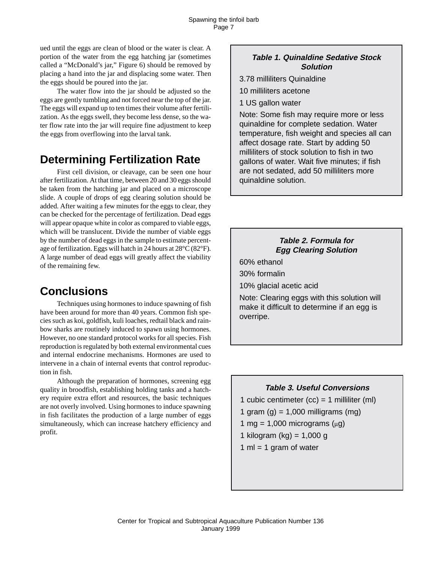ued until the eggs are clean of blood or the water is clear. A portion of the water from the egg hatching jar (sometimes called a "McDonald's jar," Figure 6) should be removed by placing a hand into the jar and displacing some water. Then the eggs should be poured into the jar.

The water flow into the jar should be adjusted so the eggs are gently tumbling and not forced near the top of the jar. The eggs will expand up to ten times their volume after fertilization. As the eggs swell, they become less dense, so the water flow rate into the jar will require fine adjustment to keep the eggs from overflowing into the larval tank.

## **Determining Fertilization Rate**

First cell division, or cleavage, can be seen one hour after fertilization. At that time, between 20 and 30 eggs should be taken from the hatching jar and placed on a microscope slide. A couple of drops of egg clearing solution should be added. After waiting a few minutes for the eggs to clear, they can be checked for the percentage of fertilization. Dead eggs will appear opaque white in color as compared to viable eggs, which will be translucent. Divide the number of viable eggs by the number of dead eggs in the sample to estimate percentage of fertilization. Eggs will hatch in 24 hours at 28°C (82°F). A large number of dead eggs will greatly affect the viability of the remaining few.

# **Conclusions**

Techniques using hormones to induce spawning of fish have been around for more than 40 years. Common fish species such as koi, goldfish, kuli loaches, redtail black and rainbow sharks are routinely induced to spawn using hormones. However, no one standard protocol works for all species. Fish reproduction is regulated by both external environmental cues and internal endocrine mechanisms. Hormones are used to intervene in a chain of internal events that control reproduction in fish.

Although the preparation of hormones, screening egg quality in broodfish, establishing holding tanks and a hatchery require extra effort and resources, the basic techniques are not overly involved. Using hormones to induce spawning in fish facilitates the production of a large number of eggs simultaneously, which can increase hatchery efficiency and profit.

#### **Table 1. Quinaldine Sedative Stock Solution**

- 3.78 milliliters Quinaldine
- 10 milliliters acetone

1 US gallon water

Note: Some fish may require more or less quinaldine for complete sedation. Water temperature, fish weight and species all can affect dosage rate. Start by adding 50 milliliters of stock solution to fish in two gallons of water. Wait five minutes; if fish are not sedated, add 50 milliliters more quinaldine solution.

### **Table 2. Formula for Egg Clearing Solution**

60% ethanol

30% formalin

10% glacial acetic acid

Note: Clearing eggs with this solution will make it difficult to determine if an egg is overripe.

#### **Table 3. Useful Conversions**

1 cubic centimeter  $(cc) = 1$  milliliter  $(ml)$ 1 gram  $(q) = 1,000$  milligrams  $(mq)$ 1 mg = 1,000 micrograms  $(\mu g)$ 1 kilogram (kg) =  $1,000$  g 1 ml = 1 gram of water